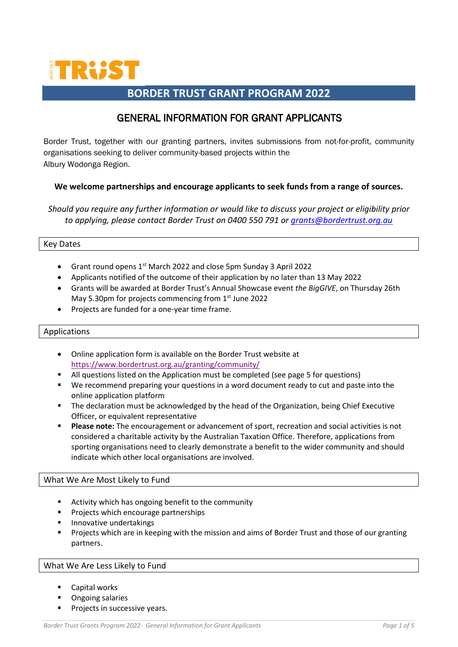

# **BORDER TRUST GRANT PROGRAM 2022**

# GENERAL INFORMATION FOR GRANT APPLICANTS

Border Trust, together with our granting partners, invites submissions from not-for-profit, community organisations seeking to deliver community-based projects within the Albury Wodonga Region.

#### **We welcome partnerships and encourage applicants to seek funds from a range of sources.**

*Should you require any further information or would like to discuss your project or eligibility prior to applying, please contact Border Trust on 0400 550 791 or [grants@bordertrust.org.au](mailto:grants@bordertrust.org.au)*

#### Key Dates

- Grant round opens 1<sup>st</sup> March 2022 and close 5pm Sunday 3 April 2022
- Applicants notified of the outcome of their application by no later than 13 May 2022
- Grants will be awarded at Border Trust's Annual Showcase event *the BigGIVE*, on Thursday 26th May 5.30pm for projects commencing from 1st June 2022
- Projects are funded for a one-year time frame.

#### Applications

- Online application form is available on the Border Trust website at <https://www.bordertrust.org.au/granting/community/>
- All questions listed on the Application must be completed (see page 5 for questions)
- We recommend preparing your questions in a word document ready to cut and paste into the online application platform
- **■** The declaration must be acknowledged by the head of the Organization, being Chief Executive Officer, or equivalent representative
- **Please note:** The encouragement or advancement of sport, recreation and social activities is not considered a charitable activity by the Australian Taxation Office. Therefore, applications from sporting organisations need to clearly demonstrate a benefit to the wider community and should indicate which other local organisations are involved.

#### What We Are Most Likely to Fund

- Activity which has ongoing benefit to the community
- Projects which encourage partnerships
- Innovative undertakings
- Projects which are in keeping with the mission and aims of Border Trust and those of our granting partners.

#### What We Are Less Likely to Fund

- Capital works
- Ongoing salaries
- Projects in successive years.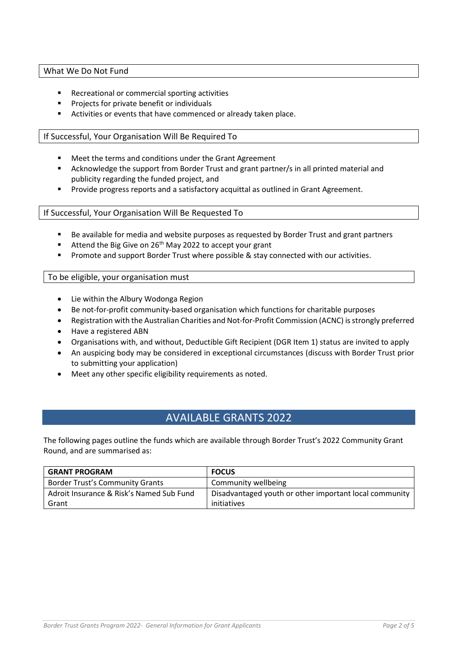#### What We Do Not Fund

- Recreational or commercial sporting activities
- Projects for private benefit or individuals
- Activities or events that have commenced or already taken place.

#### If Successful, Your Organisation Will Be Required To

- Meet the terms and conditions under the Grant Agreement
- Acknowledge the support from Border Trust and grant partner/s in all printed material and publicity regarding the funded project, and
- Provide progress reports and a satisfactory acquittal as outlined in Grant Agreement.

#### If Successful, Your Organisation Will Be Requested To

- Be available for media and website purposes as requested by Border Trust and grant partners
- Attend the Big Give on  $26<sup>th</sup>$  May 2022 to accept your grant
- **•** Promote and support Border Trust where possible & stay connected with our activities.

#### To be eligible, your organisation must

- Lie within the Albury Wodonga Region
- Be not-for-profit community-based organisation which functions for charitable purposes
- Registration with the Australian Charities and Not-for-Profit Commission (ACNC) is strongly preferred
- Have a registered ABN
- Organisations with, and without, Deductible Gift Recipient (DGR Item 1) status are invited to apply
- An auspicing body may be considered in exceptional circumstances (discuss with Border Trust prior to submitting your application)
- Meet any other specific eligibility requirements as noted.

# AVAILABLE GRANTS 2022

The following pages outline the funds which are available through Border Trust's 2022 Community Grant Round, and are summarised as:

| <b>GRANT PROGRAM</b>                     | <b>FOCUS</b>                                           |
|------------------------------------------|--------------------------------------------------------|
| <b>Border Trust's Community Grants</b>   | Community wellbeing                                    |
| Adroit Insurance & Risk's Named Sub Fund | Disadvantaged youth or other important local community |
| Grant                                    | initiatives                                            |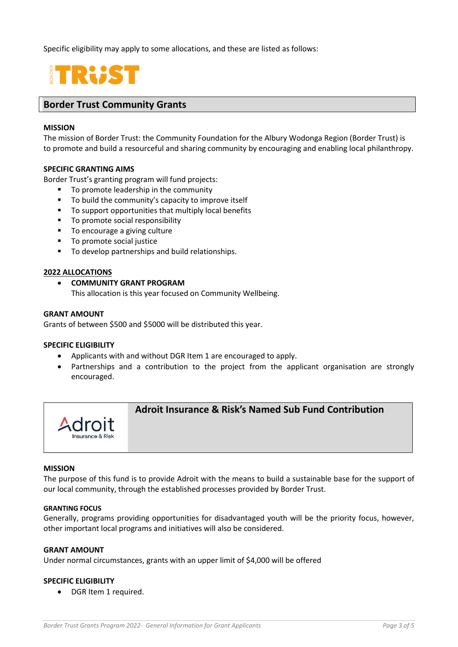Specific eligibility may apply to some allocations, and these are listed as follows:

# **TRUST**

## **Border Trust Community Grants**

#### **MISSION**

The mission of Border Trust: the Community Foundation for the Albury Wodonga Region (Border Trust) is to promote and build a resourceful and sharing community by encouraging and enabling local philanthropy.

#### **SPECIFIC GRANTING AIMS**

Border Trust's granting program will fund projects:

- To promote leadership in the community
- To build the community's capacity to improve itself
- To support opportunities that multiply local benefits
- To promote social responsibility
- To encourage a giving culture
- To promote social justice
- To develop partnerships and build relationships.

#### **2022 ALLOCATIONS**

# • **COMMUNITY GRANT PROGRAM**

This allocation is this year focused on Community Wellbeing.

#### **GRANT AMOUNT**

Grants of between \$500 and \$5000 will be distributed this year.

#### **SPECIFIC ELIGIBILITY**

- Applicants with and without DGR Item 1 are encouraged to apply.
- Partnerships and a contribution to the project from the applicant organisation are strongly encouraged.



### **Adroit Insurance & Risk's Named Sub Fund Contribution**

#### **MISSION**

The purpose of this fund is to provide Adroit with the means to build a sustainable base for the support of our local community, through the established processes provided by Border Trust.

#### **GRANTING FOCUS**

Generally, programs providing opportunities for disadvantaged youth will be the priority focus, however, other important local programs and initiatives will also be considered.

#### **GRANT AMOUNT**

Under normal circumstances, grants with an upper limit of \$4,000 will be offered

#### **SPECIFIC ELIGIBILITY**

• DGR Item 1 required.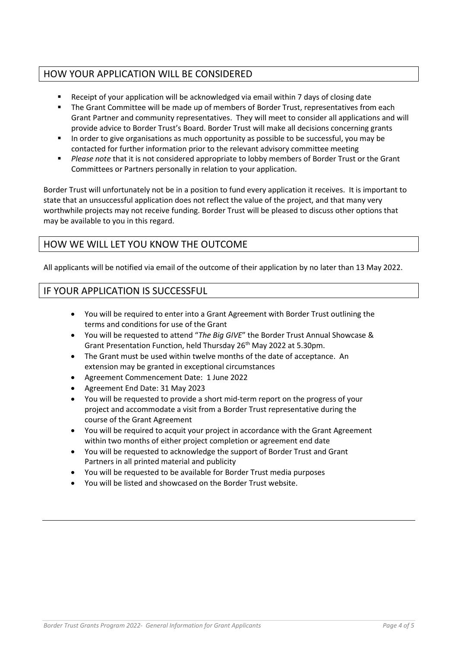# HOW YOUR APPLICATION WILL BE CONSIDERED

- Receipt of your application will be acknowledged via email within 7 days of closing date<br>■ The Grant Committee will be made up of members of Border Trust, representatives from
- The Grant Committee will be made up of members of Border Trust, representatives from each Grant Partner and community representatives. They will meet to consider all applications and will provide advice to Border Trust's Board. Border Trust will make all decisions concerning grants
- In order to give organisations as much opportunity as possible to be successful, you may be contacted for further information prior to the relevant advisory committee meeting
- *Please note* that it is not considered appropriate to lobby members of Border Trust or the Grant Committees or Partners personally in relation to your application.

Border Trust will unfortunately not be in a position to fund every application it receives. It is important to state that an unsuccessful application does not reflect the value of the project, and that many very worthwhile projects may not receive funding. Border Trust will be pleased to discuss other options that may be available to you in this regard.

# HOW WE WILL LET YOU KNOW THE OUTCOME

All applicants will be notified via email of the outcome of their application by no later than 13 May 2022.

# IF YOUR APPLICATION IS SUCCESSFUL

- You will be required to enter into a Grant Agreement with Border Trust outlining the terms and conditions for use of the Grant
- You will be requested to attend "*The Big GIVE*" the Border Trust Annual Showcase & Grant Presentation Function, held Thursday 26<sup>th</sup> May 2022 at 5.30pm.
- The Grant must be used within twelve months of the date of acceptance. An extension may be granted in exceptional circumstances
- Agreement Commencement Date: 1 June 2022
- Agreement End Date: 31 May 2023
- You will be requested to provide a short mid-term report on the progress of your project and accommodate a visit from a Border Trust representative during the course of the Grant Agreement
- You will be required to acquit your project in accordance with the Grant Agreement within two months of either project completion or agreement end date
- You will be requested to acknowledge the support of Border Trust and Grant Partners in all printed material and publicity
- You will be requested to be available for Border Trust media purposes
- You will be listed and showcased on the Border Trust website.